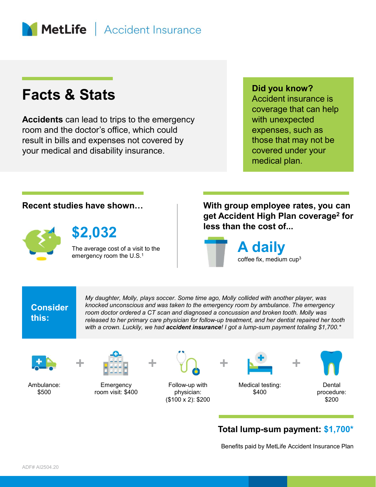

### Facts & Stats

Accidents can lead to trips to the emergency room and the doctor's office, which could result in bills and expenses not covered by your medical and disability insurance.

#### Did you know?

Accident insurance is coverage that can help with unexpected expenses, such as those that may not be covered under your medical plan.

\$2,032



The average cost of a visit to the

Recent studies have shown… With group employee rates, you can get Accident High Plan coverage<sup>2</sup> for less than the cost of...



## **Consider**

this:<br>released to her primary care physician for follow-up treatment, and her dentist repaired her tooth My daughter, Molly, plays soccer. Some time ago, Molly collided with another player, was knocked unconscious and was taken to the emergency room by ambulance. The emergency room doctor ordered a CT scan and diagnosed a concussion and broken tooth. Molly was with a crown. Luckily, we had accident insurance! I got a lump-sum payment totaling \$1,700.\*

Ambulance:



Emergency



\$500 room visit: \$400 Follow-up with physician: (\$100 x 2): \$200



Medical testing:



\$400 procedure: **Dental** \$200

#### Total lump-sum payment: \$1,700\*

Benefits paid by MetLife Accident Insurance Plan